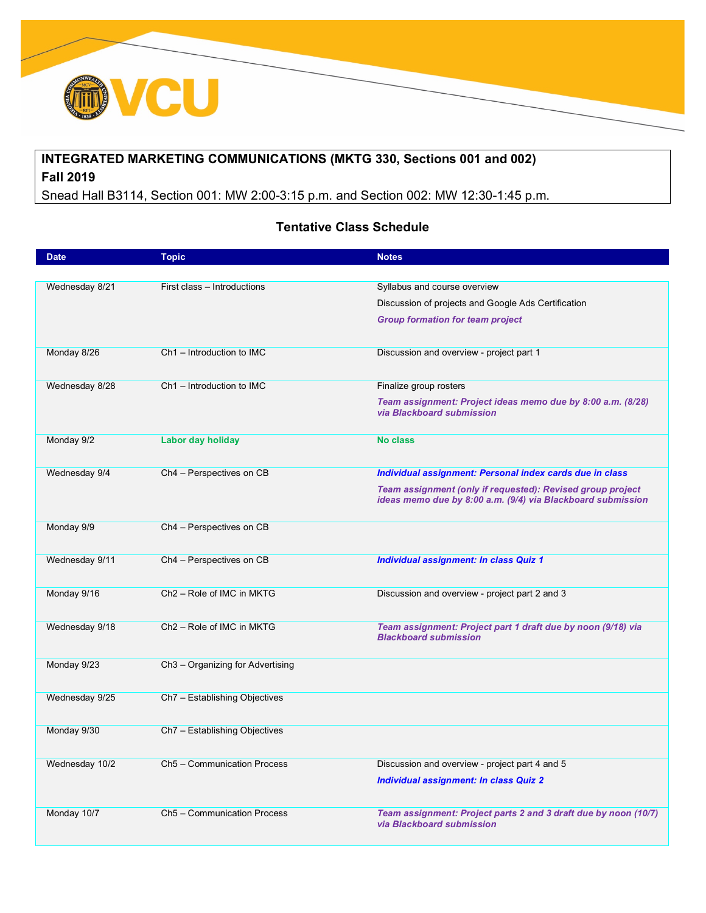

## **INTEGRATED MARKETING COMMUNICATIONS (MKTG 330, Sections 001 and 002) Fall 2019**

Snead Hall B3114, Section 001: MW 2:00-3:15 p.m. and Section 002: MW 12:30-1:45 p.m.

## **Tentative Class Schedule**

| <b>Date</b>    | <b>Topic</b>                                 | <b>Notes</b>                                                                                 |
|----------------|----------------------------------------------|----------------------------------------------------------------------------------------------|
|                |                                              |                                                                                              |
| Wednesday 8/21 | First class - Introductions                  | Syllabus and course overview                                                                 |
|                |                                              | Discussion of projects and Google Ads Certification                                          |
|                |                                              | <b>Group formation for team project</b>                                                      |
|                |                                              |                                                                                              |
| Monday 8/26    | Ch1 - Introduction to IMC                    | Discussion and overview - project part 1                                                     |
|                |                                              |                                                                                              |
| Wednesday 8/28 | Ch1 - Introduction to IMC                    | Finalize group rosters                                                                       |
|                |                                              | Team assignment: Project ideas memo due by 8:00 a.m. (8/28)                                  |
|                |                                              | via Blackboard submission                                                                    |
| Monday 9/2     | Labor day holiday                            | <b>No class</b>                                                                              |
|                |                                              |                                                                                              |
| Wednesday 9/4  | Ch4 - Perspectives on CB                     | Individual assignment: Personal index cards due in class                                     |
|                |                                              | Team assignment (only if requested): Revised group project                                   |
|                |                                              | ideas memo due by 8:00 a.m. (9/4) via Blackboard submission                                  |
|                |                                              |                                                                                              |
| Monday 9/9     | Ch4 - Perspectives on CB                     |                                                                                              |
|                |                                              |                                                                                              |
| Wednesday 9/11 | Ch4 - Perspectives on CB                     | <b>Individual assignment: In class Quiz 1</b>                                                |
|                | Ch <sub>2</sub> – Role of IMC in MKTG        |                                                                                              |
| Monday 9/16    |                                              | Discussion and overview - project part 2 and 3                                               |
|                | Ch <sub>2</sub> - Role of IMC in MKTG        |                                                                                              |
| Wednesday 9/18 |                                              | Team assignment: Project part 1 draft due by noon (9/18) via<br><b>Blackboard submission</b> |
|                |                                              |                                                                                              |
| Monday 9/23    | Ch <sub>3</sub> - Organizing for Advertising |                                                                                              |
|                |                                              |                                                                                              |
| Wednesday 9/25 | Ch7 - Establishing Objectives                |                                                                                              |
|                |                                              |                                                                                              |
| Monday 9/30    | Ch7 - Establishing Objectives                |                                                                                              |
|                |                                              |                                                                                              |
| Wednesday 10/2 | Ch5 - Communication Process                  | Discussion and overview - project part 4 and 5                                               |
|                |                                              | Individual assignment: In class Quiz 2                                                       |
|                |                                              |                                                                                              |
| Monday 10/7    | Ch5 - Communication Process                  | Team assignment: Project parts 2 and 3 draft due by noon (10/7)                              |
|                |                                              | via Blackboard submission                                                                    |